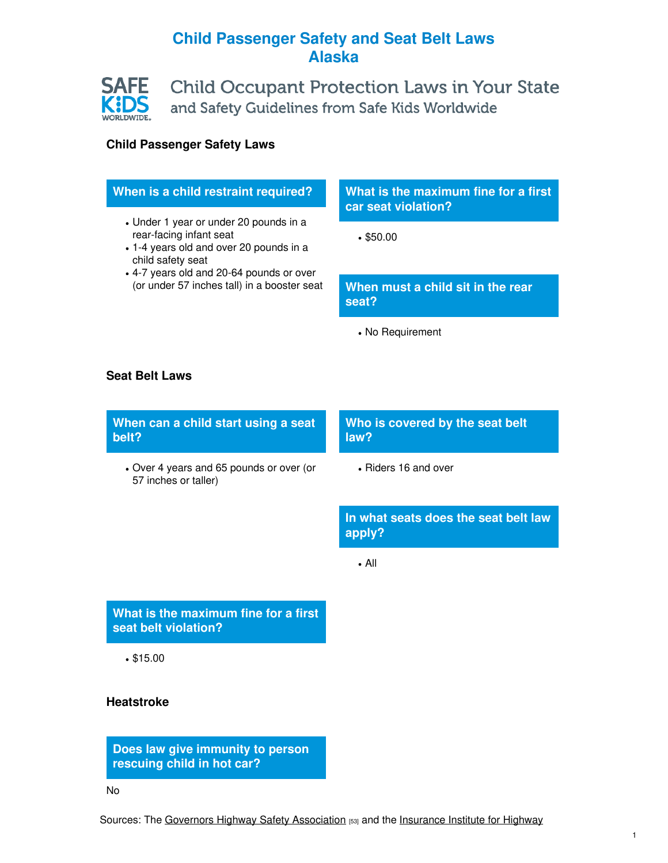## **Child Passenger Safety and Seat Belt Laws Alaska**



## **Child Passenger Safety Laws**

| When is a child restraint required?                                                                                                                                                                                          | What is the maximum fine for a first<br>car seat violation? |
|------------------------------------------------------------------------------------------------------------------------------------------------------------------------------------------------------------------------------|-------------------------------------------------------------|
| • Under 1 year or under 20 pounds in a<br>rear-facing infant seat<br>• 1-4 years old and over 20 pounds in a<br>child safety seat<br>• 4-7 years old and 20-64 pounds or over<br>(or under 57 inches tall) in a booster seat | •\$50.00                                                    |
|                                                                                                                                                                                                                              | When must a child sit in the rear<br>seat?                  |
|                                                                                                                                                                                                                              | • No Requirement                                            |
| <b>Seat Belt Laws</b>                                                                                                                                                                                                        |                                                             |
| When can a child start using a seat<br>belt?                                                                                                                                                                                 | Who is covered by the seat belt<br>law?                     |
|                                                                                                                                                                                                                              |                                                             |
| • Over 4 years and 65 pounds or over (or<br>57 inches or taller)                                                                                                                                                             | • Riders 16 and over                                        |
|                                                                                                                                                                                                                              | In what seats does the seat belt law<br>apply?              |
|                                                                                                                                                                                                                              | $\bullet$ All                                               |

**seat belt violation?**

\$15.00

## **Heatstroke**

**Does law give immunity to person rescuing child in hot car?**

No